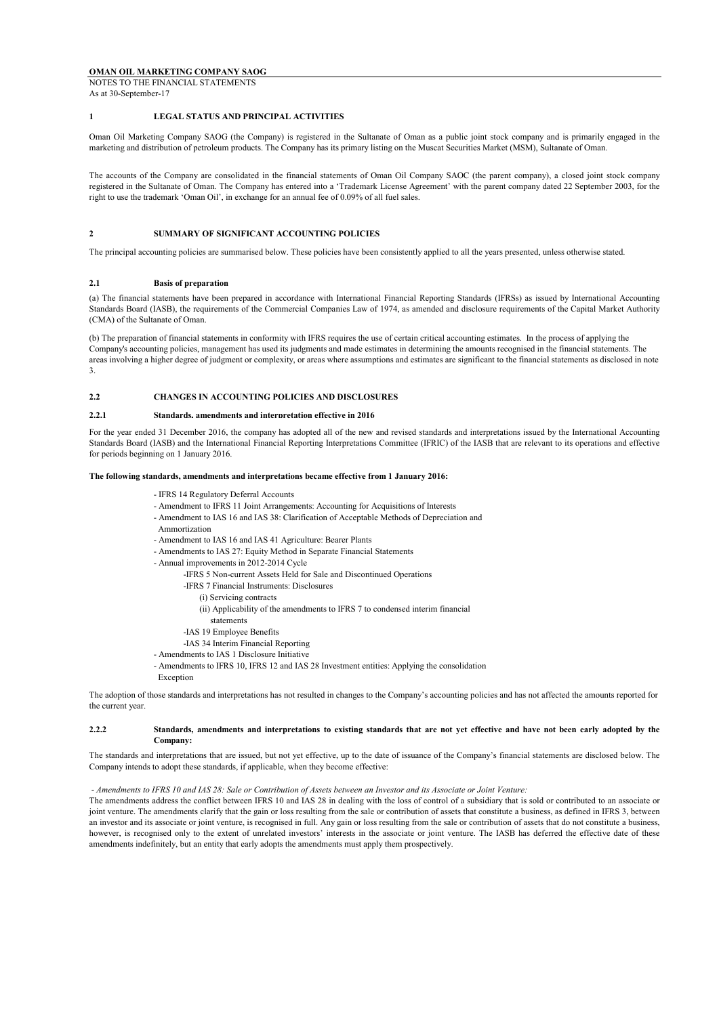NOTES TO THE FINANCIAL STATEMENTS As at 30-September-17

## **1 LEGAL STATUS AND PRINCIPAL ACTIVITIES**

Oman Oil Marketing Company SAOG (the Company) is registered in the Sultanate of Oman as a public joint stock company and is primarily engaged in the marketing and distribution of petroleum products. The Company has its primary listing on the Muscat Securities Market (MSM), Sultanate of Oman.

The accounts of the Company are consolidated in the financial statements of Oman Oil Company SAOC (the parent company), a closed joint stock company registered in the Sultanate of Oman. The Company has entered into a 'Trademark License Agreement' with the parent company dated 22 September 2003, for the right to use the trademark 'Oman Oil', in exchange for an annual fee of 0.09% of all fuel sales.

## **2 SUMMARY OF SIGNIFICANT ACCOUNTING POLICIES**

The principal accounting policies are summarised below. These policies have been consistently applied to all the years presented, unless otherwise stated.

## **2.1 Basis of preparation**

(a) The financial statements have been prepared in accordance with International Financial Reporting Standards (IFRSs) as issued by International Accounting Standards Board (IASB), the requirements of the Commercial Companies Law of 1974, as amended and disclosure requirements of the Capital Market Authority (CMA) of the Sultanate of Oman.

(b) The preparation of financial statements in conformity with IFRS requires the use of certain critical accounting estimates. In the process of applying the Company's accounting policies, management has used its judgments and made estimates in determining the amounts recognised in the financial statements. The areas involving a higher degree of judgment or complexity, or areas where assumptions and estimates are significant to the financial statements as disclosed in note 3.

#### **2.2 CHANGES IN ACCOUNTING POLICIES AND DISCLOSURES**

#### **2.2.1 Standards, amendments and interpretation effective in 2016**

For the year ended 31 December 2016, the company has adopted all of the new and revised standards and interpretations issued by the International Accounting Standards Board (IASB) and the International Financial Reporting Interpretations Committee (IFRIC) of the IASB that are relevant to its operations and effective for periods beginning on 1 January 2016.

#### **The following standards, amendments and interpretations became effective from 1 January 2016:**

- IFRS 14 Regulatory Deferral Accounts
- Amendment to IFRS 11 Joint Arrangements: Accounting for Acquisitions of Interests
- Amendment to IAS 16 and IAS 38: Clarification of Acceptable Methods of Depreciation and
- Ammortization
- Amendment to IAS 16 and IAS 41 Agriculture: Bearer Plants
- Amendments to IAS 27: Equity Method in Separate Financial Statements
- Annual improvements in 2012-2014 Cycle
	- -IFRS 5 Non-current Assets Held for Sale and Discontinued Operations
	- -IFRS 7 Financial Instruments: Disclosures
		- (i) Servicing contracts
		- (ii) Applicability of the amendments to IFRS 7 to condensed interim financial
		- statements
	- -IAS 19 Employee Benefits
	- -IAS 34 Interim Financial Reporting
- Amendments to IAS 1 Disclosure Initiative
- Amendments to IFRS 10, IFRS 12 and IAS 28 Investment entities: Applying the consolidation
- Exception

The adoption of those standards and interpretations has not resulted in changes to the Company's accounting policies and has not affected the amounts reported for the current year.

#### **2.2.2** Standards, amendments and interpretations to existing standards that are not vet effective and have not been early adopted by the **Company:**

The standards and interpretations that are issued, but not yet effective, up to the date of issuance of the Company's financial statements are disclosed below. The Company intends to adopt these standards, if applicable, when they become effective:

#### - *Amendments to IFRS 10 and IAS 28: Sale or Contribution of Assets between an Investor and its Associate or Joint Venture:*

The amendments address the conflict between IFRS 10 and IAS 28 in dealing with the loss of control of a subsidiary that is sold or contributed to an associate or joint venture. The amendments clarify that the gain or loss resulting from the sale or contribution of assets that constitute a business, as defined in IFRS 3, between an investor and its associate or joint venture, is recognised in full. Any gain or loss resulting from the sale or contribution of assets that do not constitute a business, however, is recognised only to the extent of unrelated investors' interests in the associate or joint venture. The IASB has deferred the effective date of these amendments indefinitely, but an entity that early adopts the amendments must apply them prospectively.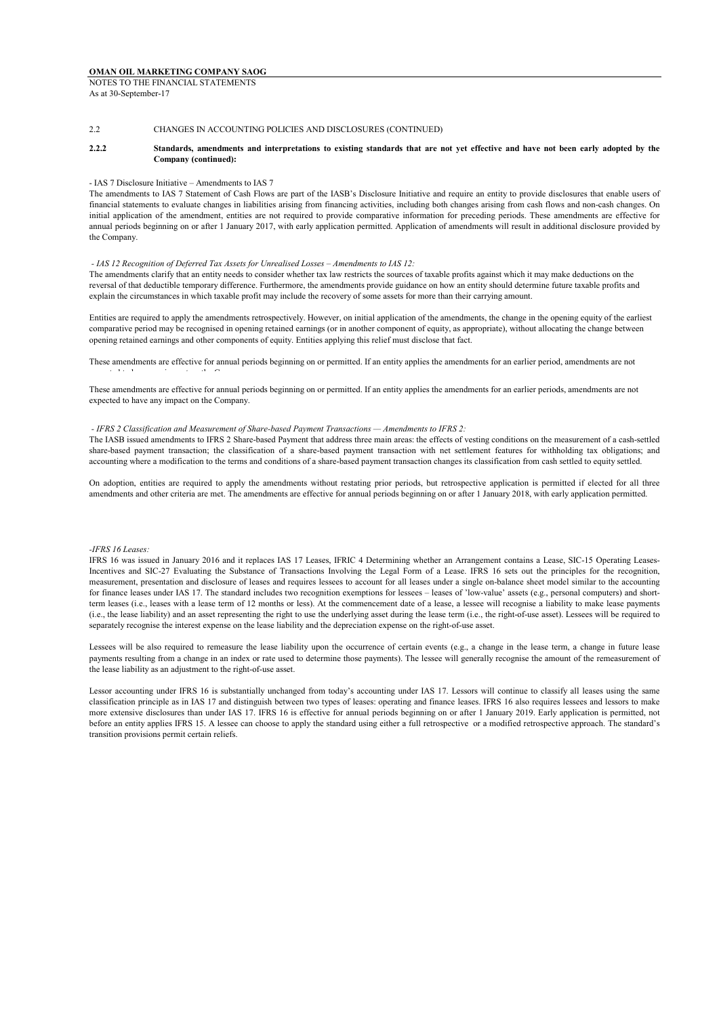#### 2.2 CHANGES IN ACCOUNTING POLICIES AND DISCLOSURES (CONTINUED)

#### **2.2.2** Standards, amendments and interpretations to existing standards that are not yet effective and have not been early adopted by the **Company (continued):**

#### - IAS 7 Disclosure Initiative – Amendments to IAS 7

The amendments to IAS 7 Statement of Cash Flows are part of the IASB's Disclosure Initiative and require an entity to provide disclosures that enable users of financial statements to evaluate changes in liabilities arising from financing activities, including both changes arising from cash flows and non-cash changes. On initial application of the amendment, entities are not required to provide comparative information for preceding periods. These amendments are effective for annual periods beginning on or after 1 January 2017, with early application permitted. Application of amendments will result in additional disclosure provided by the Company.

#### *- IAS 12 Recognition of Deferred Tax Assets for Unrealised Losses – Amendments to IAS 12:*

The amendments clarify that an entity needs to consider whether tax law restricts the sources of taxable profits against which it may make deductions on the reversal of that deductible temporary difference. Furthermore, the amendments provide guidance on how an entity should determine future taxable profits and explain the circumstances in which taxable profit may include the recovery of some assets for more than their carrying amount.

Entities are required to apply the amendments retrospectively. However, on initial application of the amendments, the change in the opening equity of the earliest comparative period may be recognised in opening retained earnings (or in another component of equity, as appropriate), without allocating the change between opening retained earnings and other components of equity. Entities applying this relief must disclose that fact.

These amendments are effective for annual periods beginning on or permitted. If an entity applies the amendments for an earlier period, amendments are not expected to have any impact on the Company.

These amendments are effective for annual periods beginning on or permitted. If an entity applies the amendments for an earlier periods, amendments are not expected to have any impact on the Company.

#### *- IFRS 2 Classification and Measurement of Share-based Payment Transactions — Amendments to IFRS 2:*

The IASB issued amendments to IFRS 2 Share-based Payment that address three main areas: the effects of vesting conditions on the measurement of a cash-settled share-based payment transaction; the classification of a share-based payment transaction with net settlement features for withholding tax obligations; and accounting where a modification to the terms and conditions of a share-based payment transaction changes its classification from cash settled to equity settled.

On adoption, entities are required to apply the amendments without restating prior periods, but retrospective application is permitted if elected for all three amendments and other criteria are met. The amendments are effective for annual periods beginning on or after 1 January 2018, with early application permitted.

## *-IFRS 16 Leases:*

IFRS 16 was issued in January 2016 and it replaces IAS 17 Leases, IFRIC 4 Determining whether an Arrangement contains a Lease, SIC-15 Operating Leases-Incentives and SIC-27 Evaluating the Substance of Transactions Involving the Legal Form of a Lease. IFRS 16 sets out the principles for the recognition, measurement, presentation and disclosure of leases and requires lessees to account for all leases under a single on-balance sheet model similar to the accounting for finance leases under IAS 17. The standard includes two recognition exemptions for lessees – leases of 'low-value' assets (e.g., personal computers) and shortterm leases (i.e., leases with a lease term of 12 months or less). At the commencement date of a lease, a lessee will recognise a liability to make lease payments (i.e., the lease liability) and an asset representing the right to use the underlying asset during the lease term (i.e., the right-of-use asset). Lessees will be required to separately recognise the interest expense on the lease liability and the depreciation expense on the right-of-use asset.

Lessees will be also required to remeasure the lease liability upon the occurrence of certain events (e.g., a change in the lease term, a change in future lease payments resulting from a change in an index or rate used to determine those payments). The lessee will generally recognise the amount of the remeasurement of the lease liability as an adjustment to the right-of-use asset.

Lessor accounting under IFRS 16 is substantially unchanged from today's accounting under IAS 17. Lessors will continue to classify all leases using the same classification principle as in IAS 17 and distinguish between two types of leases: operating and finance leases. IFRS 16 also requires lessees and lessors to make more extensive disclosures than under IAS 17. IFRS 16 is effective for annual periods beginning on or after 1 January 2019. Early application is permitted, not before an entity applies IFRS 15. A lessee can choose to apply the standard using either a full retrospective or a modified retrospective approach. The standard's transition provisions permit certain reliefs.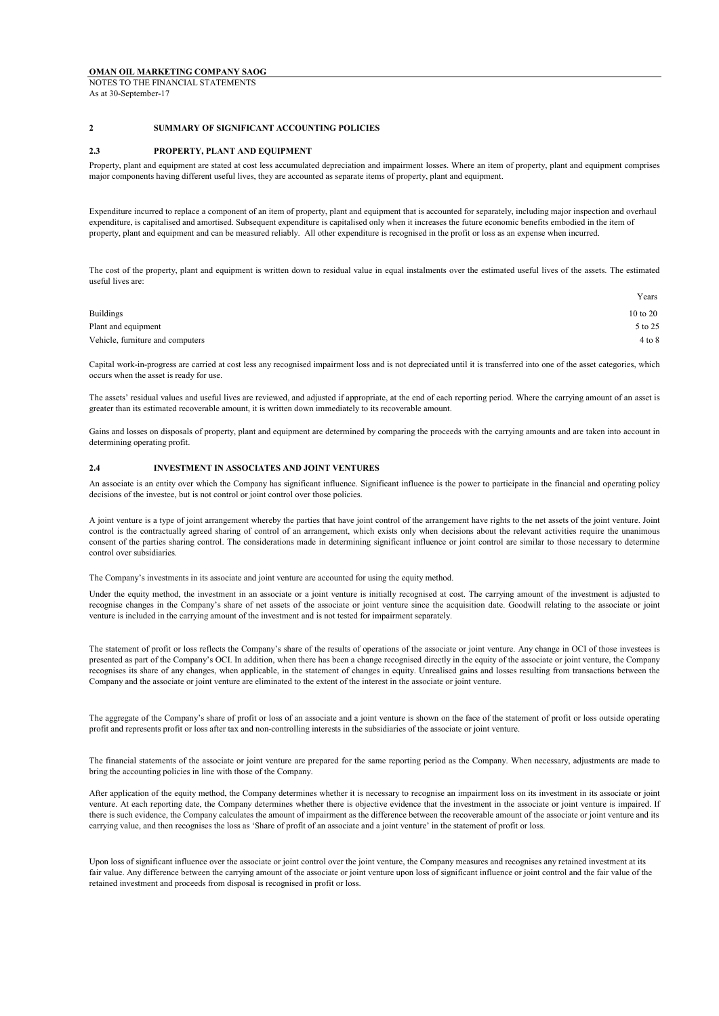## **OMAN OIL MARKETING COMPANY SAOG** NOTES TO THE FINANCIAL STATEMENTS

As at 30-September-17

## **2 SUMMARY OF SIGNIFICANT ACCOUNTING POLICIES**

### **2.3 PROPERTY, PLANT AND EQUIPMENT**

Property, plant and equipment are stated at cost less accumulated depreciation and impairment losses. Where an item of property, plant and equipment comprises major components having different useful lives, they are accounted as separate items of property, plant and equipment.

Expenditure incurred to replace a component of an item of property, plant and equipment that is accounted for separately, including major inspection and overhaul expenditure, is capitalised and amortised. Subsequent expenditure is capitalised only when it increases the future economic benefits embodied in the item of property, plant and equipment and can be measured reliably. All other expenditure is recognised in the profit or loss as an expense when incurred.

The cost of the property, plant and equipment is written down to residual value in equal instalments over the estimated useful lives of the assets. The estimated useful lives are:

| Years      |
|------------|
| 10 to 20   |
| 5 to 25    |
| $4$ to $8$ |
|            |

Capital work-in-progress are carried at cost less any recognised impairment loss and is not depreciated until it is transferred into one of the asset categories, which occurs when the asset is ready for use.

The assets' residual values and useful lives are reviewed, and adjusted if appropriate, at the end of each reporting period. Where the carrying amount of an asset is greater than its estimated recoverable amount, it is written down immediately to its recoverable amount.

Gains and losses on disposals of property, plant and equipment are determined by comparing the proceeds with the carrying amounts and are taken into account in determining operating profit.

## **2.4 INVESTMENT IN ASSOCIATES AND JOINT VENTURES**

An associate is an entity over which the Company has significant influence. Significant influence is the power to participate in the financial and operating policy decisions of the investee, but is not control or joint control over those policies.

A joint venture is a type of joint arrangement whereby the parties that have joint control of the arrangement have rights to the net assets of the joint venture. Joint control is the contractually agreed sharing of control of an arrangement, which exists only when decisions about the relevant activities require the unanimous consent of the parties sharing control. The considerations made in determining significant influence or joint control are similar to those necessary to determine control over subsidiaries.

The Company's investments in its associate and joint venture are accounted for using the equity method.

Under the equity method, the investment in an associate or a joint venture is initially recognised at cost. The carrying amount of the investment is adjusted to recognise changes in the Company's share of net assets of the associate or joint venture since the acquisition date. Goodwill relating to the associate or joint venture is included in the carrying amount of the investment and is not tested for impairment separately.

The statement of profit or loss reflects the Company's share of the results of operations of the associate or joint venture. Any change in OCI of those investees is presented as part of the Company's OCI. In addition, when there has been a change recognised directly in the equity of the associate or joint venture, the Company recognises its share of any changes, when applicable, in the statement of changes in equity. Unrealised gains and losses resulting from transactions between the Company and the associate or joint venture are eliminated to the extent of the interest in the associate or joint venture.

The aggregate of the Company's share of profit or loss of an associate and a joint venture is shown on the face of the statement of profit or loss outside operating profit and represents profit or loss after tax and non-controlling interests in the subsidiaries of the associate or joint venture.

The financial statements of the associate or joint venture are prepared for the same reporting period as the Company. When necessary, adjustments are made to bring the accounting policies in line with those of the Company.

After application of the equity method, the Company determines whether it is necessary to recognise an impairment loss on its investment in its associate or joint venture. At each reporting date, the Company determines whether there is objective evidence that the investment in the associate or joint venture is impaired. If there is such evidence, the Company calculates the amount of impairment as the difference between the recoverable amount of the associate or joint venture and its carrying value, and then recognises the loss as 'Share of profit of an associate and a joint venture' in the statement of profit or loss.

Upon loss of significant influence over the associate or joint control over the joint venture, the Company measures and recognises any retained investment at its fair value. Any difference between the carrying amount of the associate or joint venture upon loss of significant influence or joint control and the fair value of the retained investment and proceeds from disposal is recognised in profit or loss.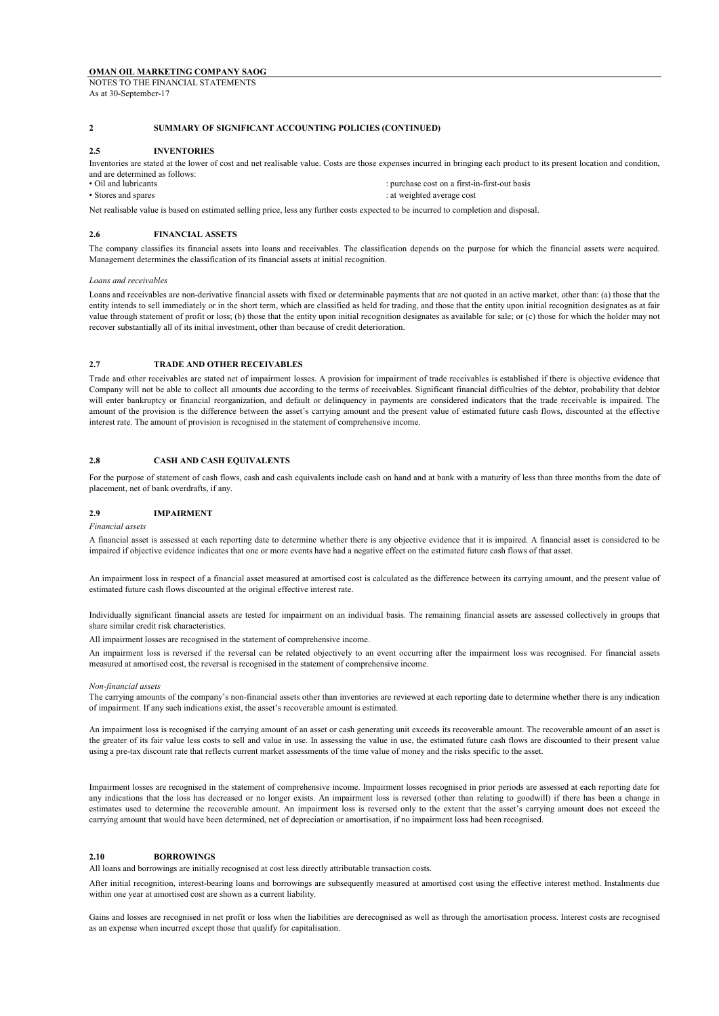As at 30-September-17

## **2 SUMMARY OF SIGNIFICANT ACCOUNTING POLICIES (CONTINUED)**

### **2.5 INVENTORIES**

Inventories are stated at the lower of cost and net realisable value. Costs are those expenses incurred in bringing each product to its present location and condition, and are determined as follows:<br>• Oil and lubricants

: purchase cost on a first-in-first-out basis • Stores and spares : at weighted average cost

Net realisable value is based on estimated selling price, less any further costs expected to be incurred to completion and disposal.

## **2.6 FINANCIAL ASSETS**

The company classifies its financial assets into loans and receivables. The classification depends on the purpose for which the financial assets were acquired. Management determines the classification of its financial assets at initial recognition.

#### *Loans and receivables*

Loans and receivables are non-derivative financial assets with fixed or determinable payments that are not quoted in an active market, other than: (a) those that the entity intends to sell immediately or in the short term, which are classified as held for trading, and those that the entity upon initial recognition designates as at fair value through statement of profit or loss; (b) those that the entity upon initial recognition designates as available for sale; or (c) those for which the holder may not recover substantially all of its initial investment, other than because of credit deterioration.

## **2.7 TRADE AND OTHER RECEIVABLES**

Trade and other receivables are stated net of impairment losses. A provision for impairment of trade receivables is established if there is objective evidence that Company will not be able to collect all amounts due according to the terms of receivables. Significant financial difficulties of the debtor, probability that debtor will enter bankruptcy or financial reorganization, and default or delinquency in payments are considered indicators that the trade receivable is impaired. The amount of the provision is the difference between the asset's carrying amount and the present value of estimated future cash flows, discounted at the effective interest rate. The amount of provision is recognised in the statement of comprehensive income.

## **2.8 CASH AND CASH EQUIVALENTS**

For the purpose of statement of cash flows, cash and cash equivalents include cash on hand and at bank with a maturity of less than three months from the date of placement, net of bank overdrafts, if any.

### **2.9 IMPAIRMENT**

#### *Financial assets*

A financial asset is assessed at each reporting date to determine whether there is any objective evidence that it is impaired. A financial asset is considered to be impaired if objective evidence indicates that one or more events have had a negative effect on the estimated future cash flows of that asset.

An impairment loss in respect of a financial asset measured at amortised cost is calculated as the difference between its carrying amount, and the present value of estimated future cash flows discounted at the original effective interest rate.

Individually significant financial assets are tested for impairment on an individual basis. The remaining financial assets are assessed collectively in groups that share similar credit risk characteristics.

All impairment losses are recognised in the statement of comprehensive income.

An impairment loss is reversed if the reversal can be related objectively to an event occurring after the impairment loss was recognised. For financial assets measured at amortised cost, the reversal is recognised in the statement of comprehensive income.

#### *Non-financial assets*

The carrying amounts of the company's non-financial assets other than inventories are reviewed at each reporting date to determine whether there is any indication of impairment. If any such indications exist, the asset's recoverable amount is estimated.

An impairment loss is recognised if the carrying amount of an asset or cash generating unit exceeds its recoverable amount. The recoverable amount of an asset is the greater of its fair value less costs to sell and value in use. In assessing the value in use, the estimated future cash flows are discounted to their present value using a pre-tax discount rate that reflects current market assessments of the time value of money and the risks specific to the asset.

Impairment losses are recognised in the statement of comprehensive income. Impairment losses recognised in prior periods are assessed at each reporting date for any indications that the loss has decreased or no longer exists. An impairment loss is reversed (other than relating to goodwill) if there has been a change in estimates used to determine the recoverable amount. An impairment loss is reversed only to the extent that the asset's carrying amount does not exceed the carrying amount that would have been determined, net of depreciation or amortisation, if no impairment loss had been recognised.

## **2.10 BORROWINGS**

All loans and borrowings are initially recognised at cost less directly attributable transaction costs.

After initial recognition, interest-bearing loans and borrowings are subsequently measured at amortised cost using the effective interest method. Instalments due within one year at amortised cost are shown as a current liability.

Gains and losses are recognised in net profit or loss when the liabilities are derecognised as well as through the amortisation process. Interest costs are recognised as an expense when incurred except those that qualify for capitalisation.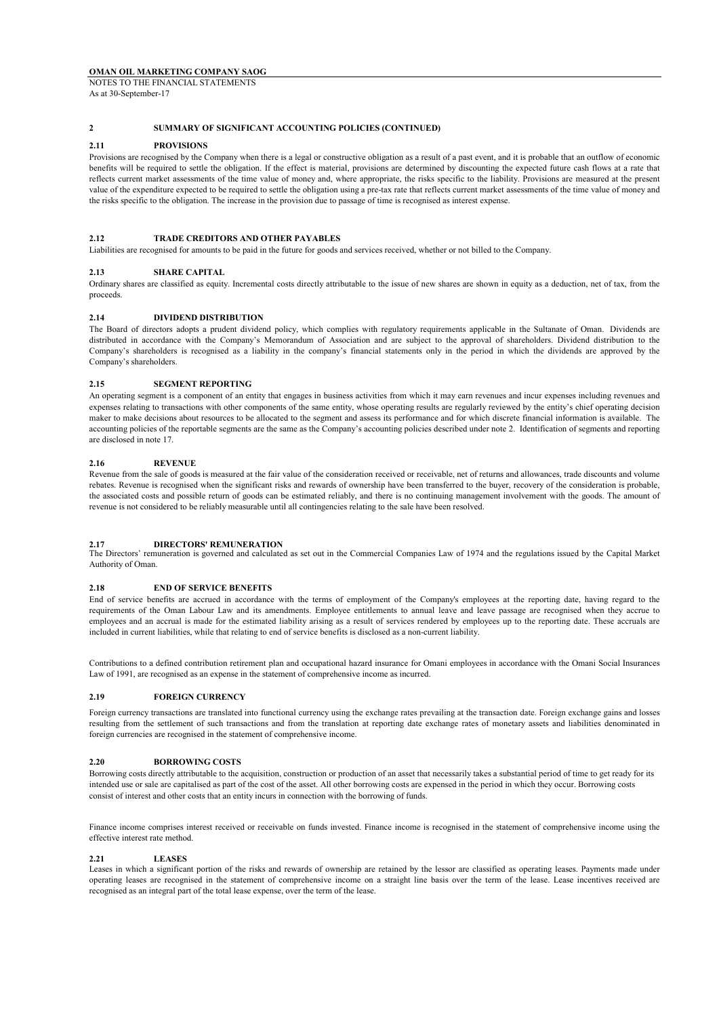As at 30-September-17

## **2 SUMMARY OF SIGNIFICANT ACCOUNTING POLICIES (CONTINUED)**

## **2.11 PROVISIONS**

Provisions are recognised by the Company when there is a legal or constructive obligation as a result of a past event, and it is probable that an outflow of economic benefits will be required to settle the obligation. If the effect is material, provisions are determined by discounting the expected future cash flows at a rate that reflects current market assessments of the time value of money and, where appropriate, the risks specific to the liability. Provisions are measured at the present value of the expenditure expected to be required to settle the obligation using a pre-tax rate that reflects current market assessments of the time value of money and the risks specific to the obligation. The increase in the provision due to passage of time is recognised as interest expense.

## **2.12 TRADE CREDITORS AND OTHER PAYABLES**

Liabilities are recognised for amounts to be paid in the future for goods and services received, whether or not billed to the Company.

## **2.13 SHARE CAPITAL**

Ordinary shares are classified as equity. Incremental costs directly attributable to the issue of new shares are shown in equity as a deduction, net of tax, from the proceeds.

## **2.14 DIVIDEND DISTRIBUTION**

The Board of directors adopts a prudent dividend policy, which complies with regulatory requirements applicable in the Sultanate of Oman. Dividends are distributed in accordance with the Company's Memorandum of Association and are subject to the approval of shareholders. Dividend distribution to the Company's shareholders is recognised as a liability in the company's financial statements only in the period in which the dividends are approved by the Company's shareholders.

## **2.15 SEGMENT REPORTING**

An operating segment is a component of an entity that engages in business activities from which it may earn revenues and incur expenses including revenues and expenses relating to transactions with other components of the same entity, whose operating results are regularly reviewed by the entity's chief operating decision maker to make decisions about resources to be allocated to the segment and assess its performance and for which discrete financial information is available. The accounting policies of the reportable segments are the same as the Company's accounting policies described under note 2. Identification of segments and reporting are disclosed in note 17.

## **2.16 REVENUE**

Revenue from the sale of goods is measured at the fair value of the consideration received or receivable, net of returns and allowances, trade discounts and volume rebates. Revenue is recognised when the significant risks and rewards of ownership have been transferred to the buyer, recovery of the consideration is probable, the associated costs and possible return of goods can be estimated reliably, and there is no continuing management involvement with the goods. The amount of revenue is not considered to be reliably measurable until all contingencies relating to the sale have been resolved.

## **2.17 DIRECTORS' REMUNERATION**

The Directors' remuneration is governed and calculated as set out in the Commercial Companies Law of 1974 and the regulations issued by the Capital Market Authority of Oman.

### **2.18 END OF SERVICE BENEFITS**

End of service benefits are accrued in accordance with the terms of employment of the Company's employees at the reporting date, having regard to the requirements of the Oman Labour Law and its amendments. Employee entitlements to annual leave and leave passage are recognised when they accrue to employees and an accrual is made for the estimated liability arising as a result of services rendered by employees up to the reporting date. These accruals are included in current liabilities, while that relating to end of service benefits is disclosed as a non-current liability.

Contributions to a defined contribution retirement plan and occupational hazard insurance for Omani employees in accordance with the Omani Social Insurances Law of 1991, are recognised as an expense in the statement of comprehensive income as incurred.

### **2.19 FOREIGN CURRENCY**

Foreign currency transactions are translated into functional currency using the exchange rates prevailing at the transaction date. Foreign exchange gains and losses resulting from the settlement of such transactions and from the translation at reporting date exchange rates of monetary assets and liabilities denominated in foreign currencies are recognised in the statement of comprehensive income.

## **2.20 BORROWING COSTS**

Borrowing costs directly attributable to the acquisition, construction or production of an asset that necessarily takes a substantial period of time to get ready for its intended use or sale are capitalised as part of the cost of the asset. All other borrowing costs are expensed in the period in which they occur. Borrowing costs consist of interest and other costs that an entity incurs in connection with the borrowing of funds.

Finance income comprises interest received or receivable on funds invested. Finance income is recognised in the statement of comprehensive income using the effective interest rate method.

## **2.21 LEASES**

Leases in which a significant portion of the risks and rewards of ownership are retained by the lessor are classified as operating leases. Payments made under operating leases are recognised in the statement of comprehensive income on a straight line basis over the term of the lease. Lease incentives received are recognised as an integral part of the total lease expense, over the term of the lease.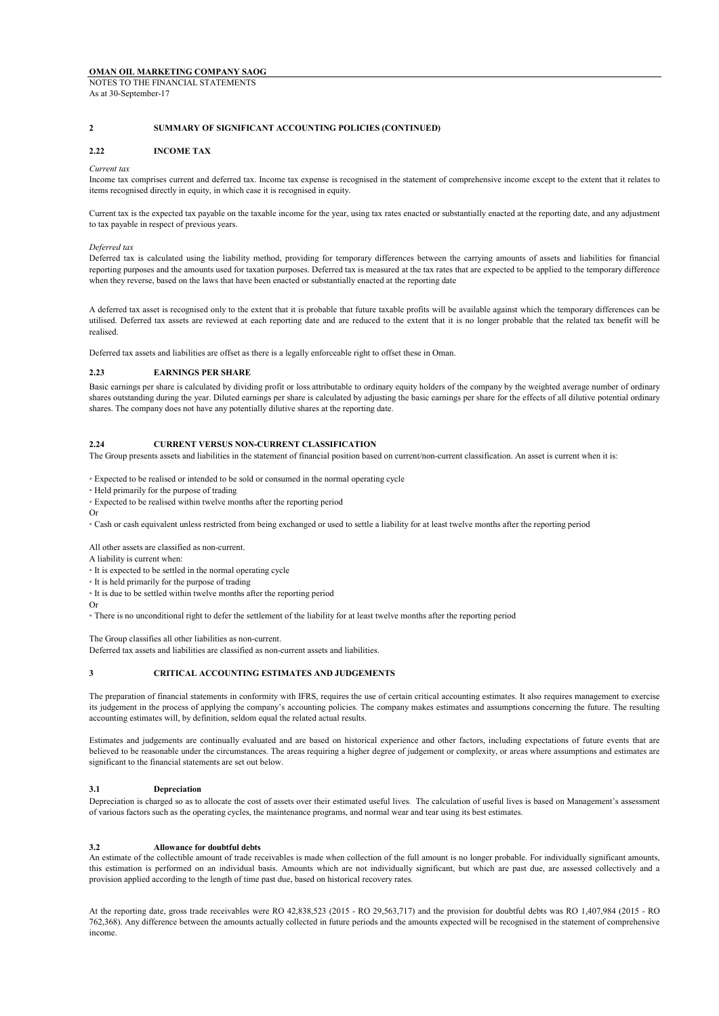### **2 SUMMARY OF SIGNIFICANT ACCOUNTING POLICIES (CONTINUED)**

#### **2.22 INCOME TAX**

#### *Current tax*

Income tax comprises current and deferred tax. Income tax expense is recognised in the statement of comprehensive income except to the extent that it relates to items recognised directly in equity, in which case it is recognised in equity.

Current tax is the expected tax payable on the taxable income for the year, using tax rates enacted or substantially enacted at the reporting date, and any adjustment to tax payable in respect of previous years.

### *Deferred tax*

Deferred tax is calculated using the liability method, providing for temporary differences between the carrying amounts of assets and liabilities for financial reporting purposes and the amounts used for taxation purposes. Deferred tax is measured at the tax rates that are expected to be applied to the temporary difference when they reverse, based on the laws that have been enacted or substantially enacted at the reporting date

A deferred tax asset is recognised only to the extent that it is probable that future taxable profits will be available against which the temporary differences can be utilised. Deferred tax assets are reviewed at each reporting date and are reduced to the extent that it is no longer probable that the related tax benefit will be realised.

Deferred tax assets and liabilities are offset as there is a legally enforceable right to offset these in Oman.

#### **2.23 EARNINGS PER SHARE**

Basic earnings per share is calculated by dividing profit or loss attributable to ordinary equity holders of the company by the weighted average number of ordinary shares outstanding during the year. Diluted earnings per share is calculated by adjusting the basic earnings per share for the effects of all dilutive potential ordinary shares. The company does not have any potentially dilutive shares at the reporting date.

## **2.24 CURRENT VERSUS NON-CURRENT CLASSIFICATION**

The Group presents assets and liabilities in the statement of financial position based on current/non-current classification. An asset is current when it is:

• Expected to be realised or intended to be sold or consumed in the normal operating cycle

- Held primarily for the purpose of trading
- Expected to be realised within twelve months after the reporting period
- Or

• Cash or cash equivalent unless restricted from being exchanged or used to settle a liability for at least twelve months after the reporting period

All other assets are classified as non-current.

A liability is current when:

• It is expected to be settled in the normal operating cycle • It is held primarily for the purpose of trading

• It is due to be settled within twelve months after the reporting period

Or

• There is no unconditional right to defer the settlement of the liability for at least twelve months after the reporting period

The Group classifies all other liabilities as non-current.

Deferred tax assets and liabilities are classified as non-current assets and liabilities.

#### **3 CRITICAL ACCOUNTING ESTIMATES AND JUDGEMENTS**

The preparation of financial statements in conformity with IFRS, requires the use of certain critical accounting estimates. It also requires management to exercise its judgement in the process of applying the company's accounting policies. The company makes estimates and assumptions concerning the future. The resulting accounting estimates will, by definition, seldom equal the related actual results.

Estimates and judgements are continually evaluated and are based on historical experience and other factors, including expectations of future events that are believed to be reasonable under the circumstances. The areas requiring a higher degree of judgement or complexity, or areas where assumptions and estimates are significant to the financial statements are set out below.

### **3.1 Depreciation**

Depreciation is charged so as to allocate the cost of assets over their estimated useful lives. The calculation of useful lives is based on Management's assessment of various factors such as the operating cycles, the maintenance programs, and normal wear and tear using its best estimates.

#### **3.2 Allowance for doubtful debts**

An estimate of the collectible amount of trade receivables is made when collection of the full amount is no longer probable. For individually significant amounts, this estimation is performed on an individual basis. Amounts which are not individually significant, but which are past due, are assessed collectively and a provision applied according to the length of time past due, based on historical recovery rates.

At the reporting date, gross trade receivables were RO 42,838,523 (2015 - RO 29,563,717) and the provision for doubtful debts was RO 1,407,984 (2015 - RO 762,368). Any difference between the amounts actually collected in future periods and the amounts expected will be recognised in the statement of comprehensive income.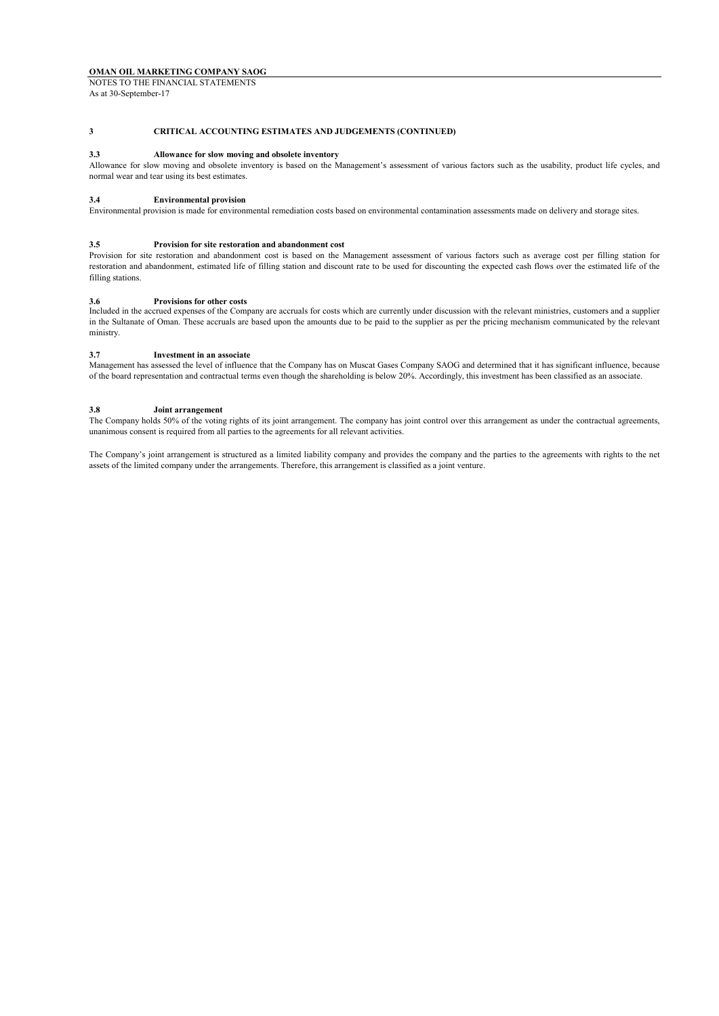NOTES TO THE FINANCIAL STATEMENTS As at 30-September-17

## **3 CRITICAL ACCOUNTING ESTIMATES AND JUDGEMENTS (CONTINUED)**

### **3.3 Allowance for slow moving and obsolete inventory**

Allowance for slow moving and obsolete inventory is based on the Management's assessment of various factors such as the usability, product life cycles, and normal wear and tear using its best estimates.

#### **3.4 Environmental provision**

Environmental provision is made for environmental remediation costs based on environmental contamination assessments made on delivery and storage sites.

### **3.5 Provision for site restoration and abandonment cost**

Provision for site restoration and abandonment cost is based on the Management assessment of various factors such as average cost per filling station for restoration and abandonment, estimated life of filling station and discount rate to be used for discounting the expected cash flows over the estimated life of the filling stations.

### **3.6 Provisions for other costs**

Included in the accrued expenses of the Company are accruals for costs which are currently under discussion with the relevant ministries, customers and a supplier in the Sultanate of Oman. These accruals are based upon the amounts due to be paid to the supplier as per the pricing mechanism communicated by the relevant ministry.

#### **3.7 Investment in an associate**

Management has assessed the level of influence that the Company has on Muscat Gases Company SAOG and determined that it has significant influence, because of the board representation and contractual terms even though the shareholding is below 20%. Accordingly, this investment has been classified as an associate.

### **3.8 Joint arrangement**

The Company holds 50% of the voting rights of its joint arrangement. The company has joint control over this arrangement as under the contractual agreements, unanimous consent is required from all parties to the agreements for all relevant activities.

The Company's joint arrangement is structured as a limited liability company and provides the company and the parties to the agreements with rights to the net assets of the limited company under the arrangements. Therefore, this arrangement is classified as a joint venture.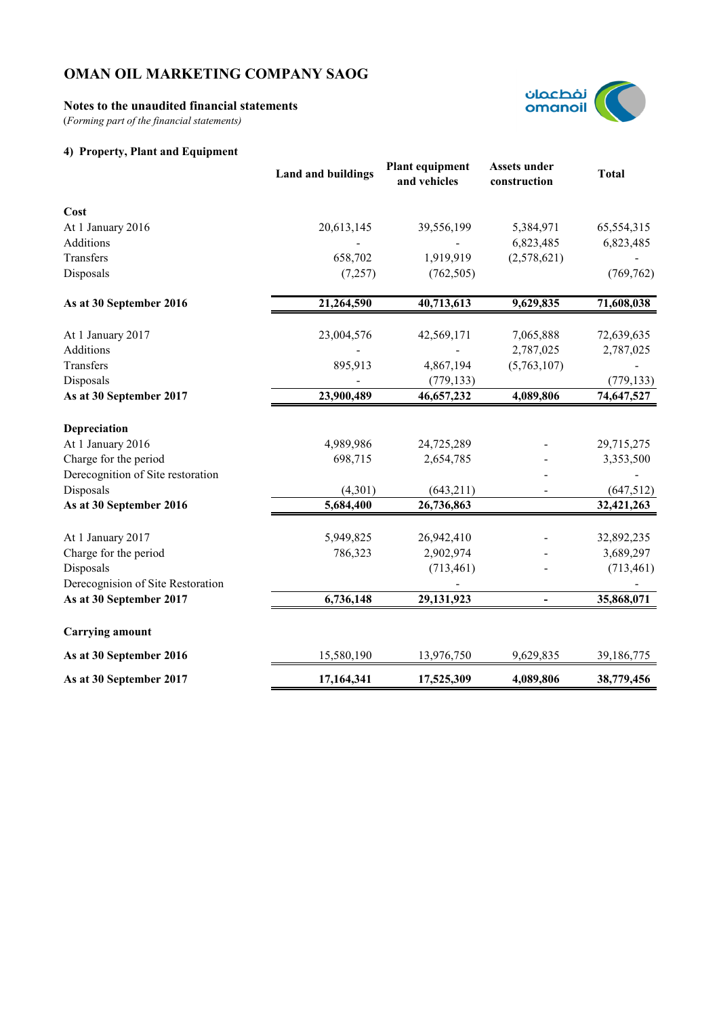## **Notes to the unaudited financial statements**

(*Forming part of the financial statements)*

## **4) Property, Plant and Equipment**



|                                   | <b>Land and buildings</b> | <b>Plant equipment</b><br>and vehicles | <b>Assets under</b><br>construction | <b>Total</b> |
|-----------------------------------|---------------------------|----------------------------------------|-------------------------------------|--------------|
| Cost                              |                           |                                        |                                     |              |
| At 1 January 2016                 | 20,613,145                | 39,556,199                             | 5,384,971                           | 65,554,315   |
| Additions                         |                           |                                        | 6,823,485                           | 6,823,485    |
| Transfers                         | 658,702                   | 1,919,919                              | (2,578,621)                         |              |
| Disposals                         | (7,257)                   | (762, 505)                             |                                     | (769, 762)   |
| As at 30 September 2016           | 21,264,590                | 40,713,613                             | 9,629,835                           | 71,608,038   |
| At 1 January 2017                 | 23,004,576                | 42,569,171                             | 7,065,888                           | 72,639,635   |
| Additions                         |                           |                                        | 2,787,025                           | 2,787,025    |
| Transfers                         | 895,913                   | 4,867,194                              | (5,763,107)                         |              |
| Disposals                         |                           | (779, 133)                             |                                     | (779, 133)   |
| As at 30 September 2017           | 23,900,489                | 46,657,232                             | 4,089,806                           | 74,647,527   |
| Depreciation                      |                           |                                        |                                     |              |
| At 1 January 2016                 | 4,989,986                 | 24,725,289                             |                                     | 29,715,275   |
| Charge for the period             | 698,715                   | 2,654,785                              |                                     | 3,353,500    |
| Derecognition of Site restoration |                           |                                        |                                     |              |
| Disposals                         | (4,301)                   | (643,211)                              |                                     | (647,512)    |
| As at 30 September 2016           | 5,684,400                 | 26,736,863                             |                                     | 32,421,263   |
| At 1 January 2017                 | 5,949,825                 | 26,942,410                             |                                     | 32,892,235   |
| Charge for the period             | 786,323                   | 2,902,974                              |                                     | 3,689,297    |
| Disposals                         |                           | (713, 461)                             |                                     | (713, 461)   |
| Derecognision of Site Restoration |                           |                                        |                                     |              |
| As at 30 September 2017           | 6,736,148                 | 29,131,923                             |                                     | 35,868,071   |
| <b>Carrying amount</b>            |                           |                                        |                                     |              |
| As at 30 September 2016           | 15,580,190                | 13,976,750                             | 9,629,835                           | 39,186,775   |
| As at 30 September 2017           | 17,164,341                | 17,525,309                             | 4,089,806                           | 38,779,456   |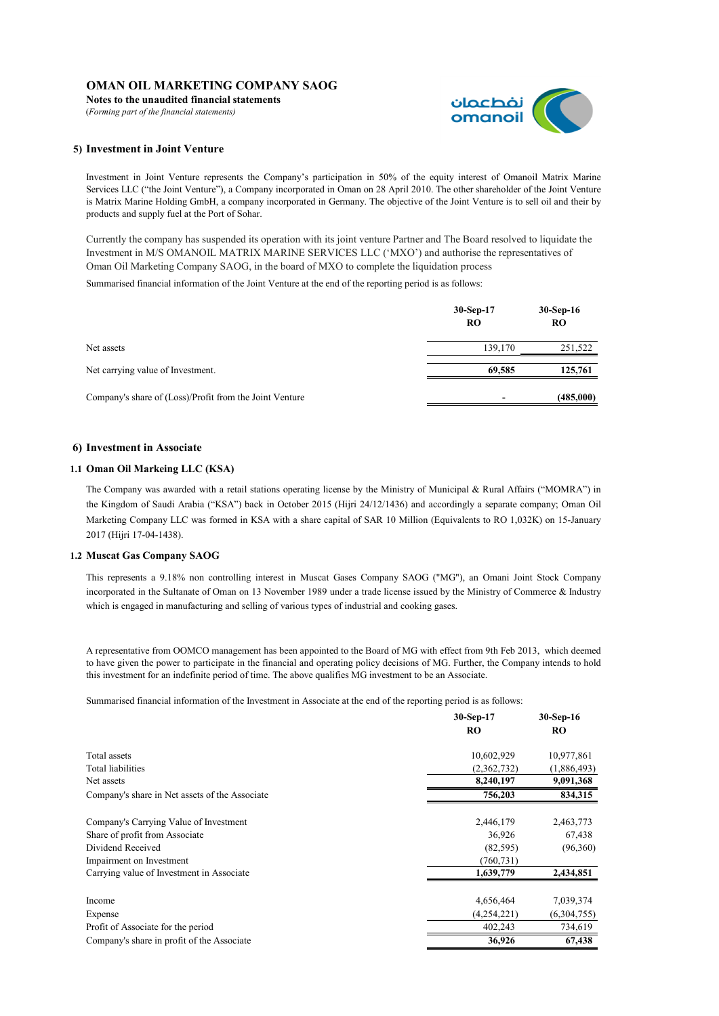**Notes to the unaudited financial statements** (*Forming part of the financial statements)*



## **5) Investment in Joint Venture**

Investment in Joint Venture represents the Company's participation in 50% of the equity interest of Omanoil Matrix Marine Services LLC ("the Joint Venture"), a Company incorporated in Oman on 28 April 2010. The other shareholder of the Joint Venture is Matrix Marine Holding GmbH, a company incorporated in Germany. The objective of the Joint Venture is to sell oil and their by products and supply fuel at the Port of Sohar.

Currently the company has suspended its operation with its joint venture Partner and The Board resolved to liquidate the Investment in M/S OMANOIL MATRIX MARINE SERVICES LLC ('MXO') and authorise the representatives of Oman Oil Marketing Company SAOG, in the board of MXO to complete the liquidation process

Summarised financial information of the Joint Venture at the end of the reporting period is as follows:

|                                                         | $30-Sep-17$<br><b>RO</b> | $30-Sep-16$<br><b>RO</b> |
|---------------------------------------------------------|--------------------------|--------------------------|
| Net assets                                              | 139,170                  | 251,522                  |
| Net carrying value of Investment.                       | 69.585                   | 125,761                  |
| Company's share of (Loss)/Profit from the Joint Venture |                          | (485,000)                |

## **6) Investment in Associate**

## **1.1 Oman Oil Markeing LLC (KSA)**

The Company was awarded with a retail stations operating license by the Ministry of Municipal & Rural Affairs ("MOMRA") in the Kingdom of Saudi Arabia ("KSA") back in October 2015 (Hijri 24/12/1436) and accordingly a separate company; Oman Oil Marketing Company LLC was formed in KSA with a share capital of SAR 10 Million (Equivalents to RO 1,032K) on 15-January 2017 (Hijri 17-04-1438).

## **1.2 Muscat Gas Company SAOG**

This represents a 9.18% non controlling interest in Muscat Gases Company SAOG ("MG"), an Omani Joint Stock Company incorporated in the Sultanate of Oman on 13 November 1989 under a trade license issued by the Ministry of Commerce & Industry which is engaged in manufacturing and selling of various types of industrial and cooking gases.

A representative from OOMCO management has been appointed to the Board of MG with effect from 9th Feb 2013, which deemed to have given the power to participate in the financial and operating policy decisions of MG. Further, the Company intends to hold this investment for an indefinite period of time. The above qualifies MG investment to be an Associate.

Summarised financial information of the Investment in Associate at the end of the reporting period is as follows:

|                                                | 30-Sep-17   | 30-Sep-16   |
|------------------------------------------------|-------------|-------------|
|                                                | <b>RO</b>   | <b>RO</b>   |
| Total assets                                   | 10,602,929  | 10,977,861  |
| Total liabilities                              | (2,362,732) | (1,886,493) |
| Net assets                                     | 8,240,197   | 9,091,368   |
| Company's share in Net assets of the Associate | 756,203     | 834,315     |
| Company's Carrying Value of Investment         | 2,446,179   | 2,463,773   |
| Share of profit from Associate                 | 36,926      | 67,438      |
| Dividend Received                              | (82, 595)   | (96,360)    |
| Impairment on Investment                       | (760, 731)  |             |
| Carrying value of Investment in Associate      | 1,639,779   | 2,434,851   |
| Income                                         | 4,656,464   | 7,039,374   |
| Expense                                        | (4,254,221) | (6,304,755) |
| Profit of Associate for the period             | 402,243     | 734,619     |
| Company's share in profit of the Associate     | 36,926      | 67,438      |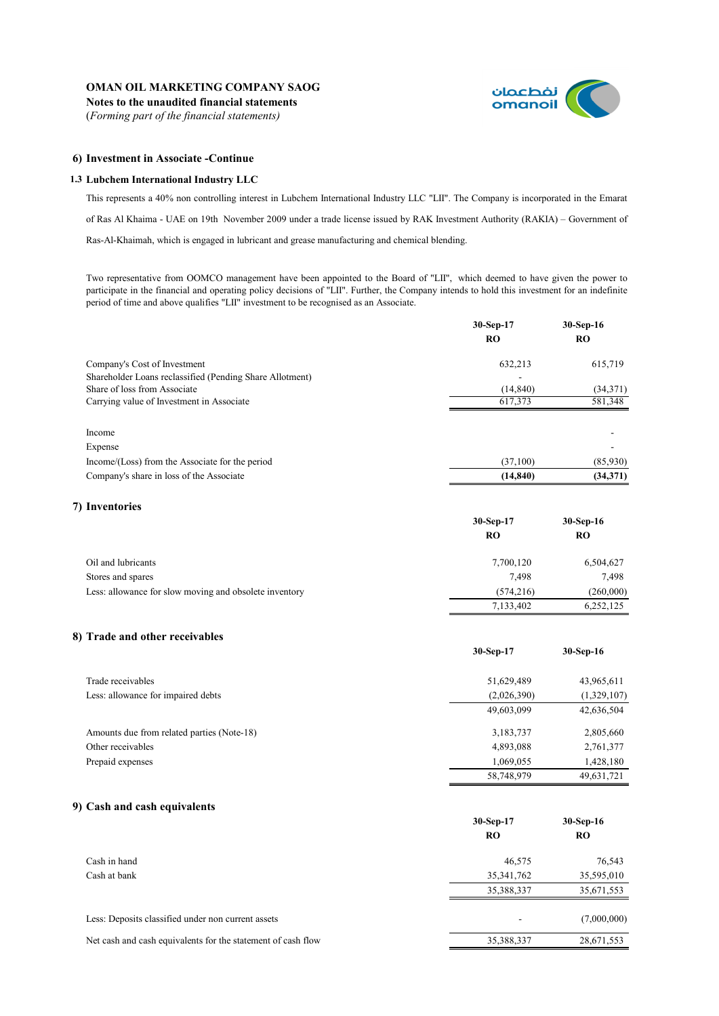**Notes to the unaudited financial statements** (*Forming part of the financial statements)*



**30-Sep-17 30-Sep-16**

## **6) Investment in Associate -Continue**

## **1.3 Lubchem International Industry LLC**

This represents a 40% non controlling interest in Lubchem International Industry LLC "LII". The Company is incorporated in the Emarat of Ras Al Khaima - UAE on 19th November 2009 under a trade license issued by RAK Investment Authority (RAKIA) – Government of Ras-Al-Khaimah, which is engaged in lubricant and grease manufacturing and chemical blending.

Two representative from OOMCO management have been appointed to the Board of "LII", which deemed to have given the power to participate in the financial and operating policy decisions of "LII". Further, the Company intends to hold this investment for an indefinite period of time and above qualifies "LII" investment to be recognised as an Associate.

|                                                          | 30-Sep-17 | 30-Sep-16 |
|----------------------------------------------------------|-----------|-----------|
|                                                          | <b>RO</b> | <b>RO</b> |
| Company's Cost of Investment                             | 632,213   | 615,719   |
| Shareholder Loans reclassified (Pending Share Allotment) | ۰         |           |
| Share of loss from Associate                             | (14, 840) | (34,371)  |
| Carrying value of Investment in Associate                | 617,373   | 581,348   |
| Income                                                   |           |           |
| Expense                                                  |           |           |
| Income/(Loss) from the Associate for the period          | (37,100)  | (85,930)  |
| Company's share in loss of the Associate                 | (14, 840) | (34, 371) |

## **7) Inventories**

|                                                        | $30-Sep-17$<br><b>RO</b> | $30-Sep-16$ |
|--------------------------------------------------------|--------------------------|-------------|
|                                                        |                          | <b>RO</b>   |
| Oil and lubricants                                     | 7,700,120                | 6,504,627   |
| Stores and spares                                      | 7.498                    | 7.498       |
| Less: allowance for slow moving and obsolete inventory | (574.216)                | (260,000)   |
|                                                        | 7,133,402                | 6,252,125   |

## **8) Trade and other receivables**

| Trade receivables                          | 51,629,489  | 43,965,611  |
|--------------------------------------------|-------------|-------------|
| Less: allowance for impaired debts         | (2,026,390) | (1,329,107) |
|                                            | 49,603,099  | 42,636,504  |
| Amounts due from related parties (Note-18) | 3,183,737   | 2,805,660   |
| Other receivables                          | 4,893,088   | 2,761,377   |
| Prepaid expenses                           | 1,069,055   | 1,428,180   |
|                                            | 58,748,979  | 49,631,721  |

## **9) Cash and cash equivalents**

|                                                              | $30-Sep-17$  | $30-Sep-16$ |
|--------------------------------------------------------------|--------------|-------------|
|                                                              | RO           | <b>RO</b>   |
| Cash in hand                                                 | 46,575       | 76,543      |
| Cash at bank                                                 | 35, 341, 762 | 35,595,010  |
|                                                              | 35,388,337   | 35,671,553  |
| Less: Deposits classified under non current assets           |              | (7,000,000) |
| Net cash and cash equivalents for the statement of cash flow | 35,388,337   | 28,671,553  |
|                                                              |              |             |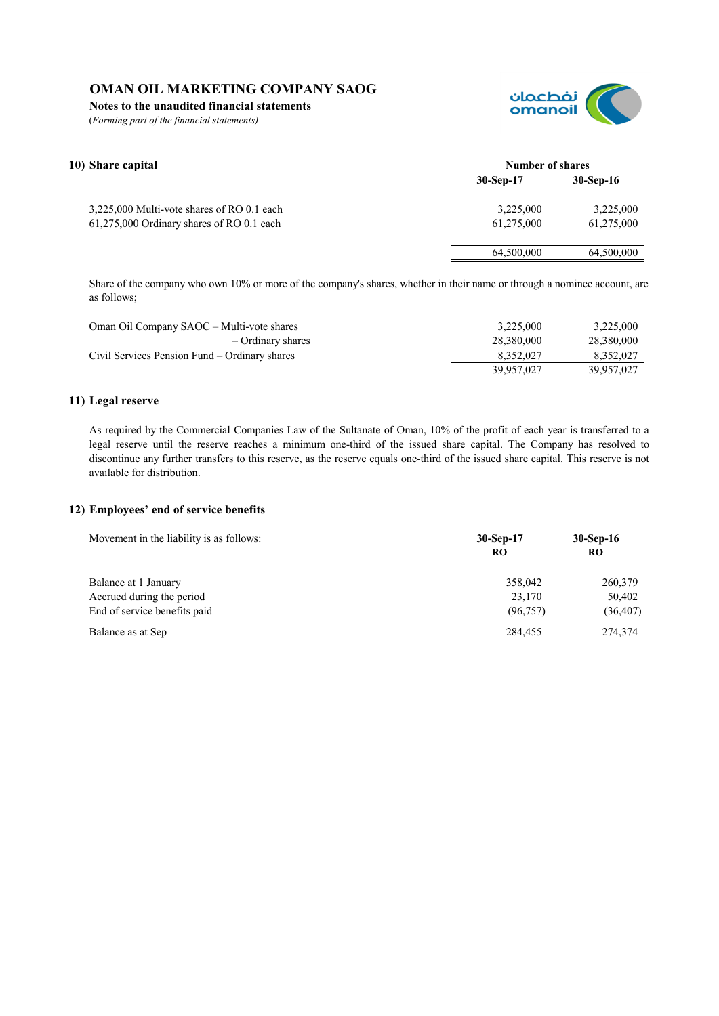**Notes to the unaudited financial statements**

(*Forming part of the financial statements)*



| 10) Share capital                          | <b>Number of shares</b> |             |
|--------------------------------------------|-------------------------|-------------|
|                                            | $30-Sep-17$             | $30-Sep-16$ |
| 3,225,000 Multi-vote shares of RO 0.1 each | 3,225,000               | 3,225,000   |
| 61,275,000 Ordinary shares of RO 0.1 each  | 61,275,000              | 61,275,000  |
|                                            | 64,500,000              | 64,500,000  |
|                                            |                         |             |

Share of the company who own 10% or more of the company's shares, whether in their name or through a nominee account, are as follows;

| Oman Oil Company SAOC – Multi-vote shares     | 3.225,000  | 3,225,000  |
|-----------------------------------------------|------------|------------|
| – Ordinary shares                             | 28.380.000 | 28.380.000 |
| Civil Services Pension Fund – Ordinary shares | 8.352.027  | 8,352,027  |
|                                               | 39,957,027 | 39,957,027 |

## **11) Legal reserve**

As required by the Commercial Companies Law of the Sultanate of Oman, 10% of the profit of each year is transferred to a legal reserve until the reserve reaches a minimum one-third of the issued share capital. The Company has resolved to discontinue any further transfers to this reserve, as the reserve equals one-third of the issued share capital. This reserve is not available for distribution.

## **12) Employees' end of service benefits**

| Movement in the liability is as follows:                                          | $30-Sep-17$<br>RO              | $30-Sep-16$<br>RO              |
|-----------------------------------------------------------------------------------|--------------------------------|--------------------------------|
| Balance at 1 January<br>Accrued during the period<br>End of service benefits paid | 358,042<br>23,170<br>(96, 757) | 260,379<br>50,402<br>(36, 407) |
| Balance as at Sep                                                                 | 284.455                        | 274,374                        |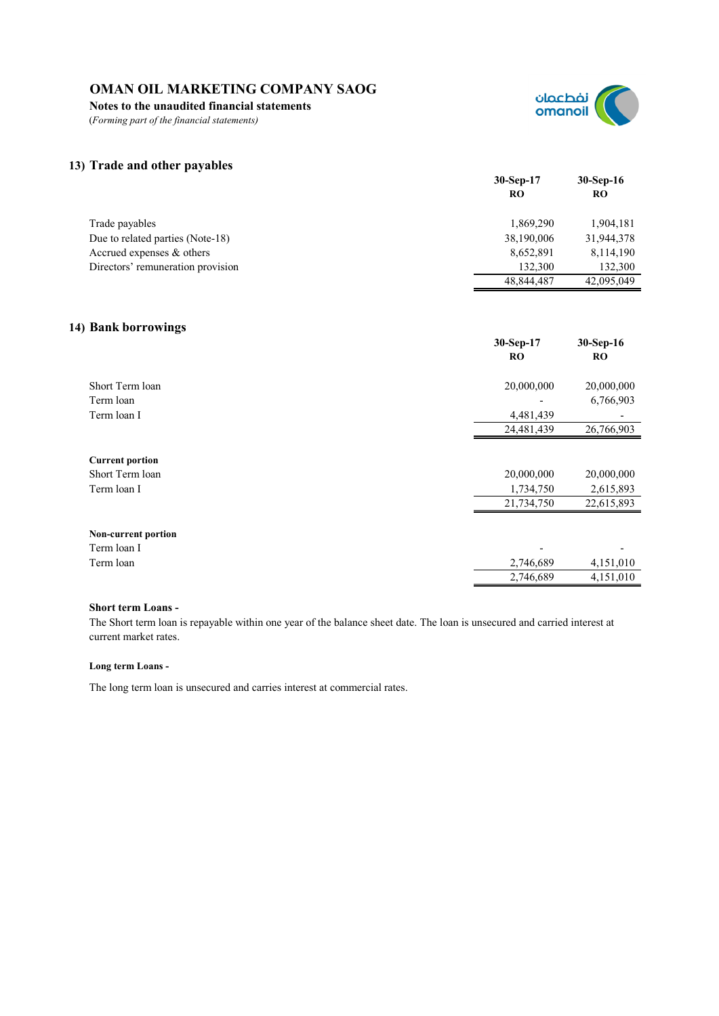**Notes to the unaudited financial statements**

(*Forming part of the financial statements)*



## **13) Trade and other payables**

| . .                               | $30-Sep-17$<br>RO | $30-Sep-16$<br>RO |
|-----------------------------------|-------------------|-------------------|
| Trade payables                    | 1,869,290         | 1,904,181         |
| Due to related parties (Note-18)  | 38,190,006        | 31,944,378        |
| Accrued expenses & others         | 8,652,891         | 8,114,190         |
| Directors' remuneration provision | 132.300           | 132,300           |
|                                   | 48,844,487        | 42,095,049        |

## **14) Bank borrowings**

|                            | 30-Sep-17<br><b>RO</b> | 30-Sep-16<br><b>RO</b> |
|----------------------------|------------------------|------------------------|
| Short Term loan            | 20,000,000             | 20,000,000             |
| Term loan                  |                        | 6,766,903              |
| Term loan I                | 4,481,439              |                        |
|                            | 24,481,439             | 26,766,903             |
| <b>Current portion</b>     |                        |                        |
| Short Term loan            | 20,000,000             | 20,000,000             |
| Term loan I                | 1,734,750              | 2,615,893              |
|                            | 21,734,750             | 22,615,893             |
| <b>Non-current portion</b> |                        |                        |
| Term loan I                |                        |                        |
| Term loan                  | 2,746,689              | 4,151,010              |
|                            | 2,746,689              | 4,151,010              |

## **Short term Loans -**

The Short term loan is repayable within one year of the balance sheet date. The loan is unsecured and carried interest at current market rates.

## **Long term Loans -**

The long term loan is unsecured and carries interest at commercial rates.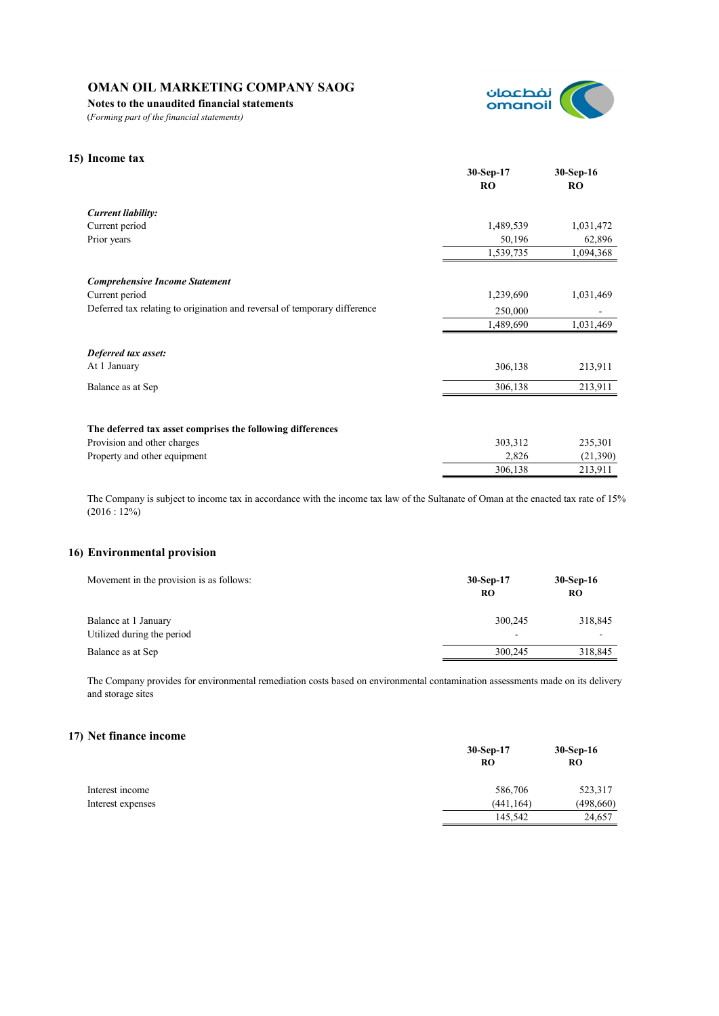**Notes to the unaudited financial statements**

(*Forming part of the financial statements)*



## **15) Income tax**

|                                                                           | 30-Sep-17 | $30-Sep-16$ |
|---------------------------------------------------------------------------|-----------|-------------|
|                                                                           | <b>RO</b> | <b>RO</b>   |
| <b>Current liability:</b>                                                 |           |             |
| Current period                                                            | 1,489,539 | 1,031,472   |
| Prior years                                                               | 50,196    | 62,896      |
|                                                                           | 1,539,735 | 1,094,368   |
| <b>Comprehensive Income Statement</b>                                     |           |             |
| Current period                                                            | 1,239,690 | 1,031,469   |
| Deferred tax relating to origination and reversal of temporary difference | 250,000   |             |
|                                                                           | 1,489,690 | 1,031,469   |
| Deferred tax asset:                                                       |           |             |
| At 1 January                                                              | 306,138   | 213,911     |
| Balance as at Sep                                                         | 306,138   | 213,911     |
|                                                                           |           |             |
| The deferred tax asset comprises the following differences                |           |             |
| Provision and other charges                                               | 303,312   | 235,301     |
| Property and other equipment                                              | 2,826     | (21,390)    |
|                                                                           | 306,138   | 213,911     |

The Company is subject to income tax in accordance with the income tax law of the Sultanate of Oman at the enacted tax rate of 15%  $(2016:12\%)$ 

## **16) Environmental provision**

| Movement in the provision is as follows:           | $30-Sep-17$<br>RO                   | $30-Sep-16$<br><b>RO</b> |
|----------------------------------------------------|-------------------------------------|--------------------------|
| Balance at 1 January<br>Utilized during the period | 300,245<br>$\overline{\phantom{0}}$ | 318,845<br>-             |
| Balance as at Sep                                  | 300,245                             | 318,845                  |

The Company provides for environmental remediation costs based on environmental contamination assessments made on its delivery and storage sites

## **17) Net finance income**

|                   | $30-Sep-17$ | $30-Sep-16$<br>RO |
|-------------------|-------------|-------------------|
|                   | <b>RO</b>   |                   |
| Interest income   | 586,706     | 523,317           |
| Interest expenses | (441, 164)  | (498,660)         |
|                   | 145.542     | 24,657            |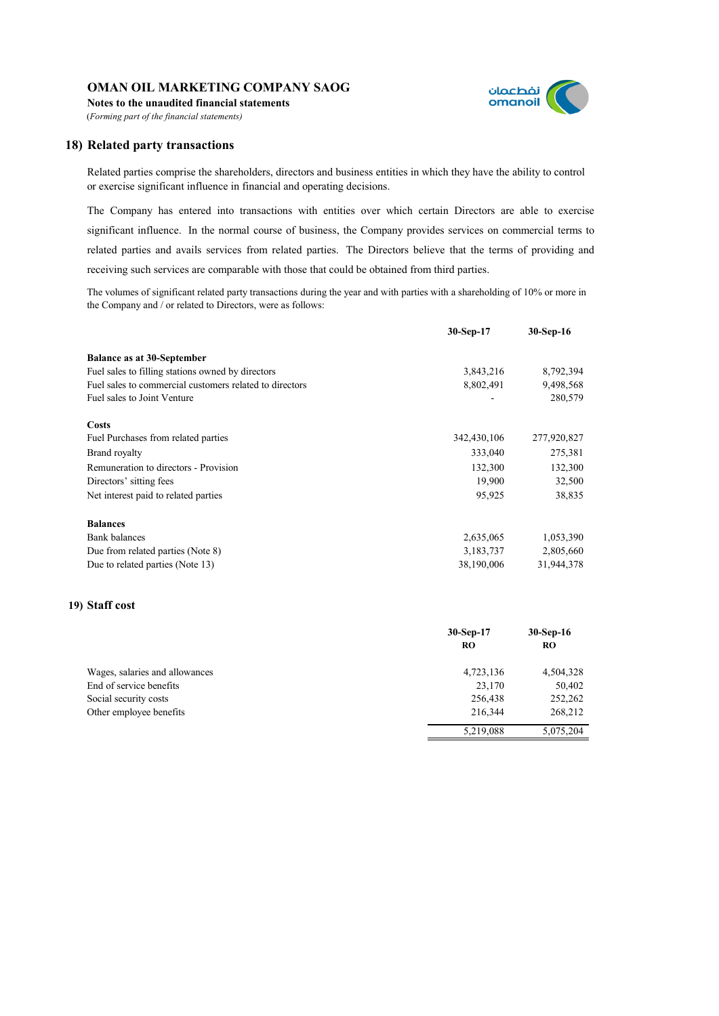**Notes to the unaudited financial statements** (*Forming part of the financial statements)*



## **18) Related party transactions**

Related parties comprise the shareholders, directors and business entities in which they have the ability to control or exercise significant influence in financial and operating decisions.

The Company has entered into transactions with entities over which certain Directors are able to exercise significant influence. In the normal course of business, the Company provides services on commercial terms to related parties and avails services from related parties. The Directors believe that the terms of providing and receiving such services are comparable with those that could be obtained from third parties.

The volumes of significant related party transactions during the year and with parties with a shareholding of 10% or more in the Company and / or related to Directors, were as follows:

|                                                         | 30-Sep-17   | $30-Sep-16$ |
|---------------------------------------------------------|-------------|-------------|
| <b>Balance as at 30-September</b>                       |             |             |
| Fuel sales to filling stations owned by directors       | 3,843,216   | 8,792,394   |
| Fuel sales to commercial customers related to directors | 8,802,491   | 9,498,568   |
| Fuel sales to Joint Venture                             |             | 280,579     |
| Costs                                                   |             |             |
| Fuel Purchases from related parties                     | 342,430,106 | 277,920,827 |
| Brand royalty                                           | 333,040     | 275,381     |
| Remuneration to directors - Provision                   | 132,300     | 132,300     |
| Directors' sitting fees                                 | 19,900      | 32,500      |
| Net interest paid to related parties                    | 95,925      | 38,835      |
| <b>Balances</b>                                         |             |             |
| <b>Bank</b> balances                                    | 2,635,065   | 1,053,390   |
| Due from related parties (Note 8)                       | 3,183,737   | 2,805,660   |
| Due to related parties (Note 13)                        | 38,190,006  | 31,944,378  |
|                                                         |             |             |

## **19) Staff cost**

|                                | $30-Sep-17$<br>RO | $30-Sep-16$<br><b>RO</b> |
|--------------------------------|-------------------|--------------------------|
| Wages, salaries and allowances | 4,723,136         | 4,504,328                |
| End of service benefits        | 23,170            | 50,402                   |
| Social security costs          | 256,438           | 252,262                  |
| Other employee benefits        | 216,344           | 268,212                  |
|                                | 5,219,088         | 5,075,204                |